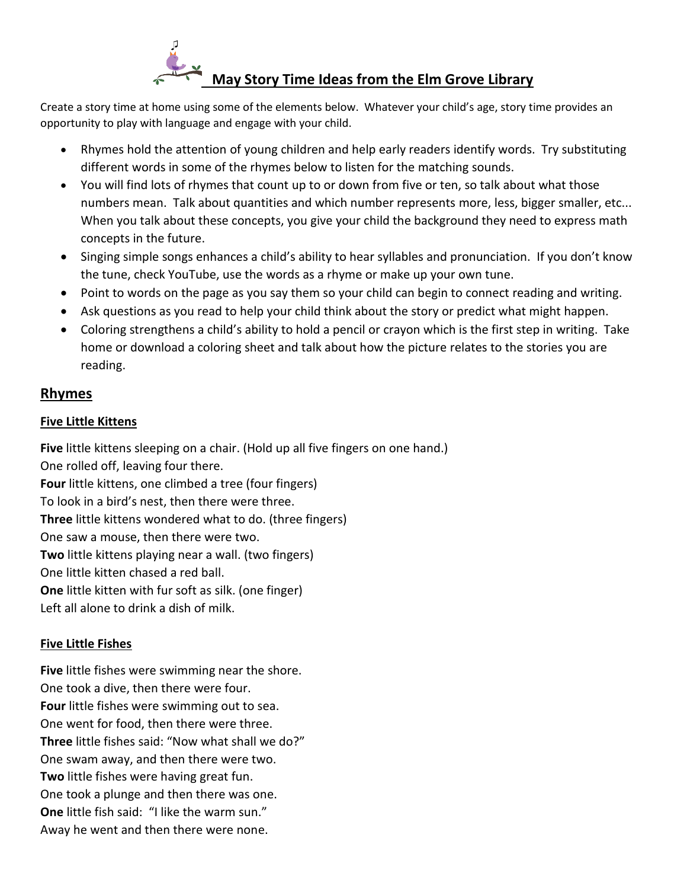

Create a story time at home using some of the elements below. Whatever your child's age, story time provides an opportunity to play with language and engage with your child.

- Rhymes hold the attention of young children and help early readers identify words. Try substituting different words in some of the rhymes below to listen for the matching sounds.
- You will find lots of rhymes that count up to or down from five or ten, so talk about what those numbers mean. Talk about quantities and which number represents more, less, bigger smaller, etc... When you talk about these concepts, you give your child the background they need to express math concepts in the future.
- Singing simple songs enhances a child's ability to hear syllables and pronunciation. If you don't know the tune, check YouTube, use the words as a rhyme or make up your own tune.
- Point to words on the page as you say them so your child can begin to connect reading and writing.
- Ask questions as you read to help your child think about the story or predict what might happen.
- Coloring strengthens a child's ability to hold a pencil or crayon which is the first step in writing. Take home or download a coloring sheet and talk about how the picture relates to the stories you are reading.

# **Rhymes**

#### **Five Little Kittens**

**Five** little kittens sleeping on a chair. (Hold up all five fingers on one hand.) One rolled off, leaving four there. **Four** little kittens, one climbed a tree (four fingers) To look in a bird's nest, then there were three. **Three** little kittens wondered what to do. (three fingers) One saw a mouse, then there were two. **Two** little kittens playing near a wall. (two fingers) One little kitten chased a red ball. **One** little kitten with fur soft as silk. (one finger) Left all alone to drink a dish of milk.

## **Five Little Fishes**

**Five** little fishes were swimming near the shore. One took a dive, then there were four. **Four** little fishes were swimming out to sea. One went for food, then there were three. **Three** little fishes said: "Now what shall we do?" One swam away, and then there were two. **Two** little fishes were having great fun. One took a plunge and then there was one. **One** little fish said: "I like the warm sun." Away he went and then there were none.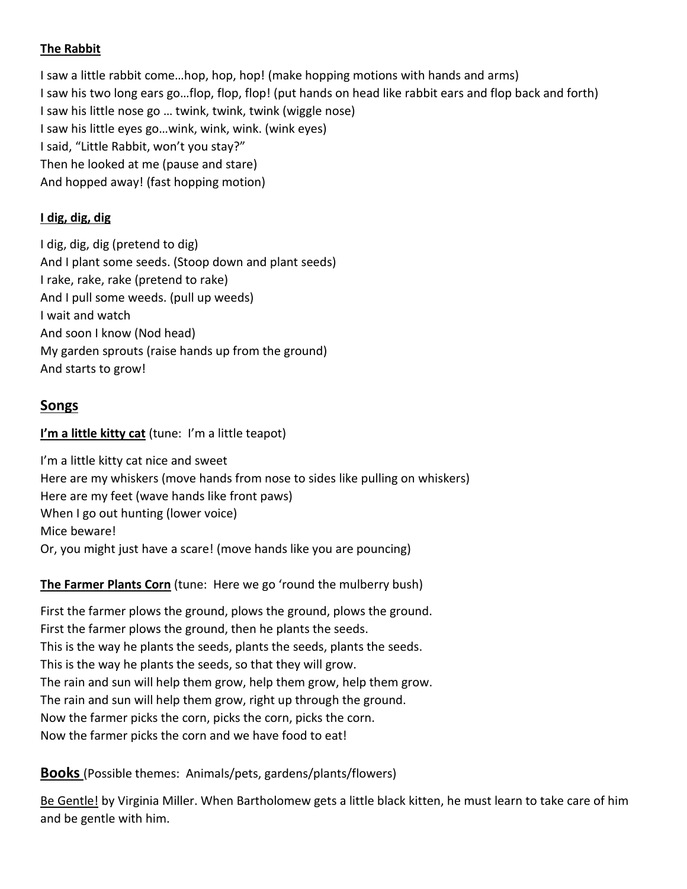### **The Rabbit**

I saw a little rabbit come…hop, hop, hop! (make hopping motions with hands and arms) I saw his two long ears go...flop, flop, flop! (put hands on head like rabbit ears and flop back and forth) I saw his little nose go … twink, twink, twink (wiggle nose) I saw his little eyes go…wink, wink, wink. (wink eyes) I said, "Little Rabbit, won't you stay?" Then he looked at me (pause and stare) And hopped away! (fast hopping motion)

### **I dig, dig, dig**

I dig, dig, dig (pretend to dig) And I plant some seeds. (Stoop down and plant seeds) I rake, rake, rake (pretend to rake) And I pull some weeds. (pull up weeds) I wait and watch And soon I know (Nod head) My garden sprouts (raise hands up from the ground) And starts to grow!

# **Songs**

### **I'm a little kitty cat** (tune: I'm a little teapot)

I'm a little kitty cat nice and sweet Here are my whiskers (move hands from nose to sides like pulling on whiskers) Here are my feet (wave hands like front paws) When I go out hunting (lower voice) Mice beware! Or, you might just have a scare! (move hands like you are pouncing)

#### **The Farmer Plants Corn** (tune: Here we go 'round the mulberry bush)

First the farmer plows the ground, plows the ground, plows the ground. First the farmer plows the ground, then he plants the seeds. This is the way he plants the seeds, plants the seeds, plants the seeds. This is the way he plants the seeds, so that they will grow. The rain and sun will help them grow, help them grow, help them grow. The rain and sun will help them grow, right up through the ground. Now the farmer picks the corn, picks the corn, picks the corn. Now the farmer picks the corn and we have food to eat!

## **Books** (Possible themes: Animals/pets, gardens/plants/flowers)

Be Gentle! by Virginia Miller. When Bartholomew gets a little black kitten, he must learn to take care of him and be gentle with him.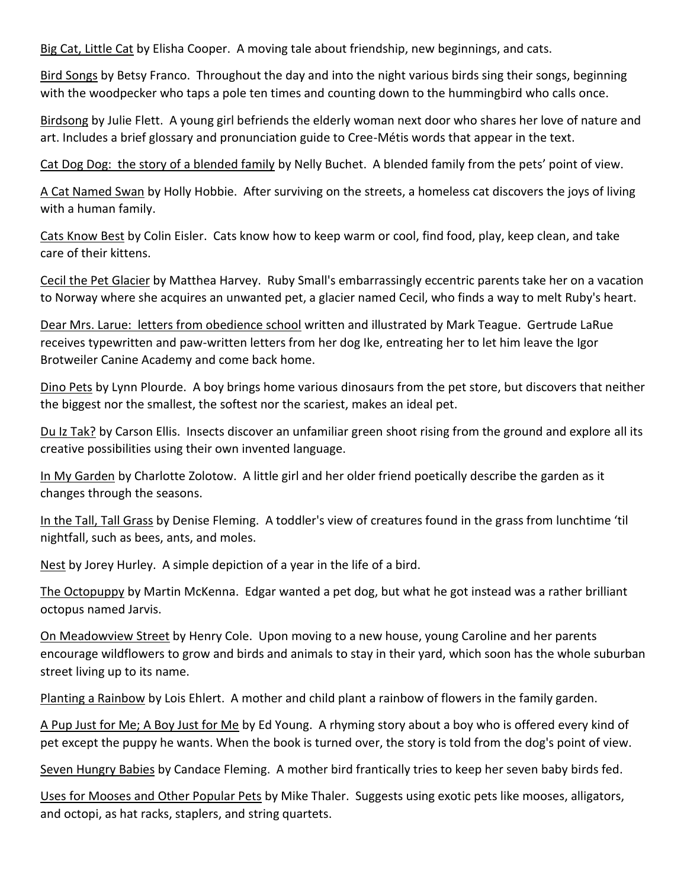Big Cat, Little Cat by Elisha Cooper. A moving tale about friendship, new beginnings, and cats.

Bird Songs by Betsy Franco. Throughout the day and into the night various birds sing their songs, beginning with the woodpecker who taps a pole ten times and counting down to the hummingbird who calls once.

Birdsong by Julie Flett. A young girl befriends the elderly woman next door who shares her love of nature and art. Includes a brief glossary and pronunciation guide to Cree-Métis words that appear in the text.

Cat Dog Dog: the story of a blended family by Nelly Buchet. A blended family from the pets' point of view.

A Cat Named Swan by Holly Hobbie. After surviving on the streets, a homeless cat discovers the joys of living with a human family.

Cats Know Best by Colin Eisler. Cats know how to keep warm or cool, find food, play, keep clean, and take care of their kittens.

Cecil the Pet Glacier by Matthea Harvey. Ruby Small's embarrassingly eccentric parents take her on a vacation to Norway where she acquires an unwanted pet, a glacier named Cecil, who finds a way to melt Ruby's heart.

Dear Mrs. Larue: letters from obedience school written and illustrated by Mark Teague. Gertrude LaRue receives typewritten and paw-written letters from her dog Ike, entreating her to let him leave the Igor Brotweiler Canine Academy and come back home.

Dino Pets by Lynn Plourde. A boy brings home various dinosaurs from the pet store, but discovers that neither the biggest nor the smallest, the softest nor the scariest, makes an ideal pet.

Du Iz Tak? by Carson Ellis. Insects discover an unfamiliar green shoot rising from the ground and explore all its creative possibilities using their own invented language.

In My Garden by Charlotte Zolotow. A little girl and her older friend poetically describe the garden as it changes through the seasons.

In the Tall, Tall Grass by Denise Fleming. A toddler's view of creatures found in the grass from lunchtime 'til nightfall, such as bees, ants, and moles.

Nest by Jorey Hurley. A simple depiction of a year in the life of a bird.

The Octopuppy by Martin McKenna. Edgar wanted a pet dog, but what he got instead was a rather brilliant octopus named Jarvis.

On Meadowview Street by Henry Cole. Upon moving to a new house, young Caroline and her parents encourage wildflowers to grow and birds and animals to stay in their yard, which soon has the whole suburban street living up to its name.

Planting a Rainbow by Lois Ehlert. A mother and child plant a rainbow of flowers in the family garden.

A Pup Just for Me; A Boy Just for Me by Ed Young. A rhyming story about a boy who is offered every kind of pet except the puppy he wants. When the book is turned over, the story is told from the dog's point of view.

Seven Hungry Babies by Candace Fleming. A mother bird frantically tries to keep her seven baby birds fed.

Uses for Mooses and Other Popular Pets by Mike Thaler. Suggests using exotic pets like mooses, alligators, and octopi, as hat racks, staplers, and string quartets.